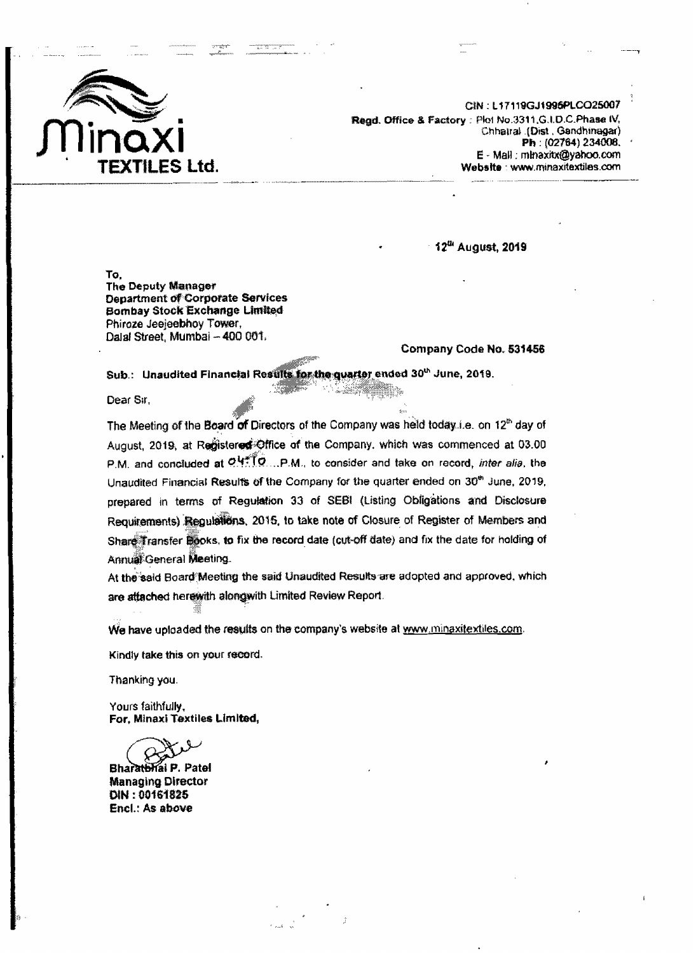

CIN: L17119GJ1996PLCO25007 Regd. Office & Factory: Plot No.3311, G.I.D.C.Phase IV, Chhatral (Dist. Gandhinagar) Ph: (02764) 234008. E - Mall : mlnaxitx@yahoo.com Website : www.minaxitextiles.com

12th August, 2019

To. The Deputy Manager Department of Corporate Services Bombay Stock Exchange Limited Phiroze Jeejeebhoy Tower, Dalal Street, Mumbai - 400 061.

Company Code No. 531456

Sub.: Unaudited Financial Results for the quarter ended 30th June, 2019.

Dear Sir,

The Meeting of the Board of Directors of the Company was held today i.e. on 12<sup>th</sup> day of August, 2019, at Registered Office of the Company, which was commenced at 03.00 P.M. and concluded at O.4\*\* TO ... P.M., to consider and take on record, inter alia, the Unaudited Financial Results of the Company for the quarter ended on 30<sup>th</sup> June, 2019, prepared in terms of Regulation 33 of SEBI (Listing Obligations and Disclosure Requirements) Regulations, 2015, to take note of Closure of Register of Members and Share Transfer Books, to fix the record date (cut-off date) and fix the date for holding of Annual General Meeting.

At the said Board Meeting the said Unaudited Results are adopted and approved, which are attached herewith alongwith Limited Review Report.

We have uploaded the results on the company's website at www.minaxitextiles.com.

Kindly take this on your record.

Thanking you.

Yours faithfully. For, Minaxi Textiles Limited,

al P. Patel **Bharath Managing Director** DIN: 00161825 Encl.: As above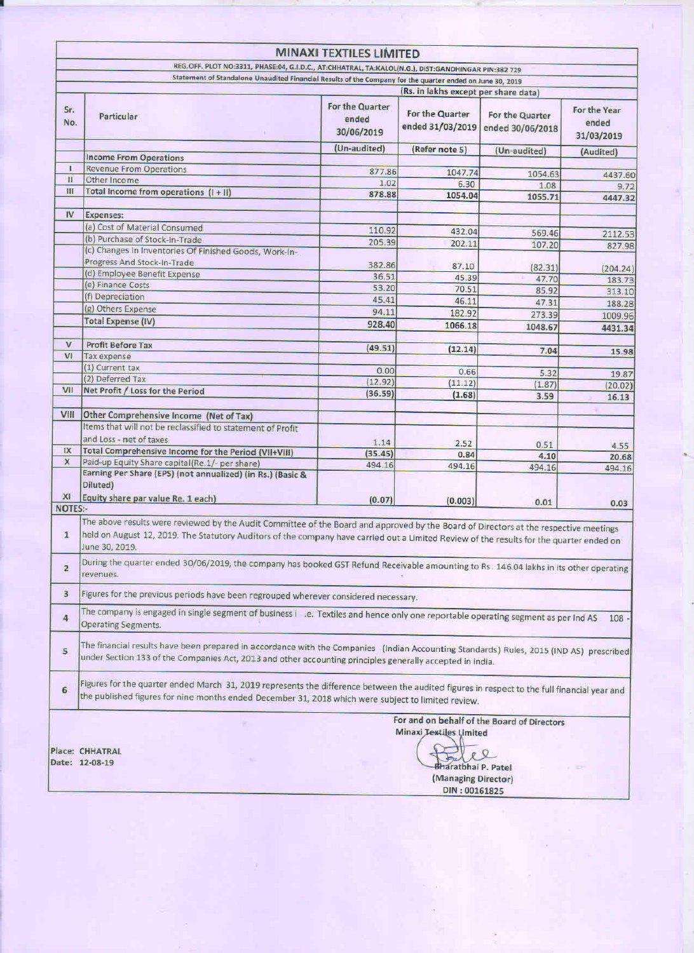|                                |                                                                                                                                                                                                                                                                                                                                                                                                                                                            | <b>MINAXI TEXTILES LIMITED</b>         |                                      |                                     |                                     |
|--------------------------------|------------------------------------------------------------------------------------------------------------------------------------------------------------------------------------------------------------------------------------------------------------------------------------------------------------------------------------------------------------------------------------------------------------------------------------------------------------|----------------------------------------|--------------------------------------|-------------------------------------|-------------------------------------|
|                                | REG.OFF. PLOT NO:3311, PHASE:04, G.I.D.C., AT:CHHATRAL, TA:KALOL(N.G.), DIST:GANDHINGAR PIN:382 729                                                                                                                                                                                                                                                                                                                                                        |                                        |                                      |                                     |                                     |
|                                | Statement of Standalone Unaudited Financial Results of the Company for the quarter ended on June 30, 2019                                                                                                                                                                                                                                                                                                                                                  |                                        |                                      |                                     |                                     |
|                                |                                                                                                                                                                                                                                                                                                                                                                                                                                                            |                                        | (Rs. in lakhs except per share data) |                                     |                                     |
| Sr.<br>No.                     | Particular                                                                                                                                                                                                                                                                                                                                                                                                                                                 | For the Quarter<br>ended<br>30/06/2019 | For the Quarter<br>ended 31/03/2019  | For the Quarter<br>ended 30/06/2018 | For the Year<br>ended<br>31/03/2019 |
|                                |                                                                                                                                                                                                                                                                                                                                                                                                                                                            | (Un-audited)                           | (Refer note 5)                       | (Un-audited)                        | (Audited)                           |
| $\mathbf{I}$                   | <b>Income From Operations</b><br><b>Revenue From Operations</b>                                                                                                                                                                                                                                                                                                                                                                                            |                                        |                                      |                                     |                                     |
| $\mathbf{H}$                   | Other Income                                                                                                                                                                                                                                                                                                                                                                                                                                               | 877.86                                 | 1047.74                              | 1054.63                             | 4437.60                             |
| Ш                              | Total Income from operations $(1 + 11)$                                                                                                                                                                                                                                                                                                                                                                                                                    | 1.02<br>878.88                         | 6.30                                 | 1.08                                | 9.72                                |
|                                |                                                                                                                                                                                                                                                                                                                                                                                                                                                            |                                        | 1054.04                              | 1055.71                             | 4447.32                             |
| IV                             | <b>Expenses:</b>                                                                                                                                                                                                                                                                                                                                                                                                                                           |                                        |                                      |                                     |                                     |
|                                | (a) Cost of Material Consumed                                                                                                                                                                                                                                                                                                                                                                                                                              | 110.92                                 | 432.04                               |                                     |                                     |
|                                | (b) Purchase of Stock-In-Trade                                                                                                                                                                                                                                                                                                                                                                                                                             | 205.39                                 | 202.11                               | 569.46                              | 2112.53                             |
|                                | (c) Changes In Inventories Of Finished Goods, Work-In-                                                                                                                                                                                                                                                                                                                                                                                                     |                                        |                                      | 107.20                              | 827.98                              |
|                                | Progress And Stock-In-Trade                                                                                                                                                                                                                                                                                                                                                                                                                                | 382.86                                 | 87.10                                | (82.31)                             |                                     |
|                                | (d) Employee Benefit Expense                                                                                                                                                                                                                                                                                                                                                                                                                               | 36.51                                  | 45.39                                | 47.70                               | (204.24)<br>183.73                  |
|                                | (e) Finance Costs                                                                                                                                                                                                                                                                                                                                                                                                                                          | 53.20                                  | 70.51                                | 85.92                               | 313.10                              |
|                                | (f) Depreciation                                                                                                                                                                                                                                                                                                                                                                                                                                           | 45.41                                  | 46.11                                | 47.31                               | 188.28                              |
|                                | (g) Others Expense                                                                                                                                                                                                                                                                                                                                                                                                                                         | 94.11                                  | 182.92                               | 273.39                              | 1009.96                             |
|                                | <b>Total Expense (IV)</b>                                                                                                                                                                                                                                                                                                                                                                                                                                  | 928.40                                 | 1066.18                              | 1048.67                             |                                     |
|                                |                                                                                                                                                                                                                                                                                                                                                                                                                                                            |                                        |                                      |                                     | 4431.34                             |
| V                              | <b>Profit Before Tax</b>                                                                                                                                                                                                                                                                                                                                                                                                                                   | (49.51)                                | (12.14)                              | 7.04                                | 15.98                               |
| VI                             | <b>Tax expense</b>                                                                                                                                                                                                                                                                                                                                                                                                                                         |                                        |                                      |                                     |                                     |
|                                | (1) Current tax                                                                                                                                                                                                                                                                                                                                                                                                                                            | 0.00                                   | 0.66                                 | 5.32                                | 19.87                               |
|                                | (2) Deferred Tax                                                                                                                                                                                                                                                                                                                                                                                                                                           | (12.92)                                | (11.12)                              | (1.87)                              | (20.02)                             |
| VII                            | Net Profit / Loss for the Period                                                                                                                                                                                                                                                                                                                                                                                                                           | (36.59)                                | (1.68)                               | 3.59                                | 16.13                               |
|                                |                                                                                                                                                                                                                                                                                                                                                                                                                                                            |                                        |                                      |                                     |                                     |
| VIII                           | Other Comprehensive Income (Net of Tax)                                                                                                                                                                                                                                                                                                                                                                                                                    |                                        |                                      |                                     |                                     |
|                                | Items that will not be reclassified to statement of Profit                                                                                                                                                                                                                                                                                                                                                                                                 |                                        |                                      |                                     |                                     |
|                                | and Loss - net of taxes                                                                                                                                                                                                                                                                                                                                                                                                                                    | 1.14                                   | 2.52                                 | 0.51                                | 4.55                                |
| IX                             | Total Comprehensive Income for the Period (VII+VIII)                                                                                                                                                                                                                                                                                                                                                                                                       | (35.45)                                | 0.84                                 | 4.10                                | 20.68                               |
| X                              | Paid-up Equity Share capital(Re.1/- per share)                                                                                                                                                                                                                                                                                                                                                                                                             | 494.16                                 | 494.16                               | 494.16                              | 494.16                              |
|                                | Earning Per Share (EPS) (not annualized) (in Rs.) (Basic &                                                                                                                                                                                                                                                                                                                                                                                                 |                                        |                                      |                                     |                                     |
|                                | Diluted)                                                                                                                                                                                                                                                                                                                                                                                                                                                   |                                        |                                      |                                     |                                     |
| X <sub>1</sub>                 | Equity share par value Re. 1 each)                                                                                                                                                                                                                                                                                                                                                                                                                         | (0.07)                                 | (0.003)                              | 0.01                                | 0.03                                |
| <b>NOTES:-</b>                 |                                                                                                                                                                                                                                                                                                                                                                                                                                                            |                                        |                                      |                                     |                                     |
| $\mathbf{1}$<br>$\overline{2}$ | The above results were reviewed by the Audit Committee of the Board and approved by the Board of Directors at the respective meetings<br>held on August 12, 2019. The Statutory Auditors of the company have carried out a Limited Review of the results for the quarter ended on<br>June 30, 2019.<br>During the quarter ended 30/06/2019, the company has booked GST Refund Receivable amounting to Rs. 146.04 lakhs in its other operating<br>revenues. |                                        |                                      |                                     |                                     |
| 3                              | Figures for the previous periods have been regrouped wherever considered necessary.                                                                                                                                                                                                                                                                                                                                                                        |                                        |                                      |                                     |                                     |
| $\overline{4}$                 | The company is engaged in single segment of business i e. Textiles and hence only one reportable operating segment as per Ind AS<br>108<br><b>Operating Segments.</b>                                                                                                                                                                                                                                                                                      |                                        |                                      |                                     |                                     |
| 5                              | The financial results have been prepared in accordance with the Companies (Indian Accounting Standards) Rules, 2015 (IND AS) prescribed<br>under Section 133 of the Companies Act, 2013 and other accounting principles generally accepted in india.                                                                                                                                                                                                       |                                        |                                      |                                     |                                     |
| 6                              | Figures for the quarter ended March 31, 2019 represents the difference between the audited figures in respect to the full financial year and<br>the published figures for nine months ended December 31, 2018 which were subject to limited review.                                                                                                                                                                                                        |                                        |                                      |                                     |                                     |
|                                | For and on behalf of the Board of Directors<br><b>Minaxi Textiles Limited</b><br>Place: CHHATRAL<br>Date: 12-08-19<br>naratbhai P. Patel<br>(Managing Director)<br>DIN: 00161825                                                                                                                                                                                                                                                                           |                                        |                                      |                                     |                                     |